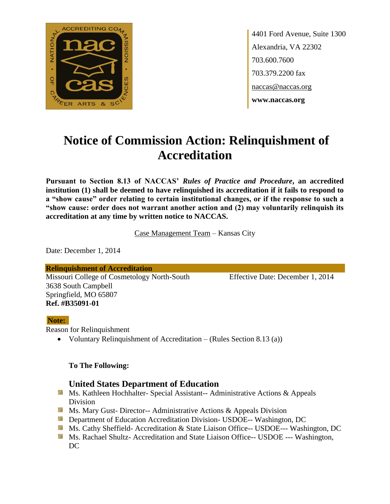

4401 Ford Avenue, Suite 1300 Alexandria, VA 22302 703.600.7600 703.379.2200 fax naccas@naccas.org **www.naccas.org**

# **Notice of Commission Action: Relinquishment of Accreditation**

**Pursuant to Section 8.13 of NACCAS'** *Rules of Practice and Procedure***, an accredited institution (1) shall be deemed to have relinquished its accreditation if it fails to respond to a "show cause" order relating to certain institutional changes, or if the response to such a "show cause: order does not warrant another action and (2) may voluntarily relinquish its accreditation at any time by written notice to NACCAS.**

Case Management Team – Kansas City

Date: December 1, 2014

**Relinquishment of Accreditation** Missouri College of Cosmetology North-South Effective Date: December 1, 2014 3638 South Campbell Springfield, MO 65807 **Ref. #B35091-01**

#### **Note:**

Reason for Relinquishment

Voluntary Relinquishment of Accreditation – (Rules Section 8.13 (a))

#### **To The Following:**

### **United States Department of Education**

- **Ms. Kathleen Hochhalter- Special Assistant-- Administrative Actions & Appeals** Division
- **Ms. Mary Gust- Director-- Administrative Actions & Appeals Division**
- **Department of Education Accreditation Division- USDOE-- Washington, DC**
- Ms. Cathy Sheffield- Accreditation & State Liaison Office-- USDOE--- Washington, DC
- **MS. Rachael Shultz- Accreditation and State Liaison Office-- USDOE --- Washington,** DC